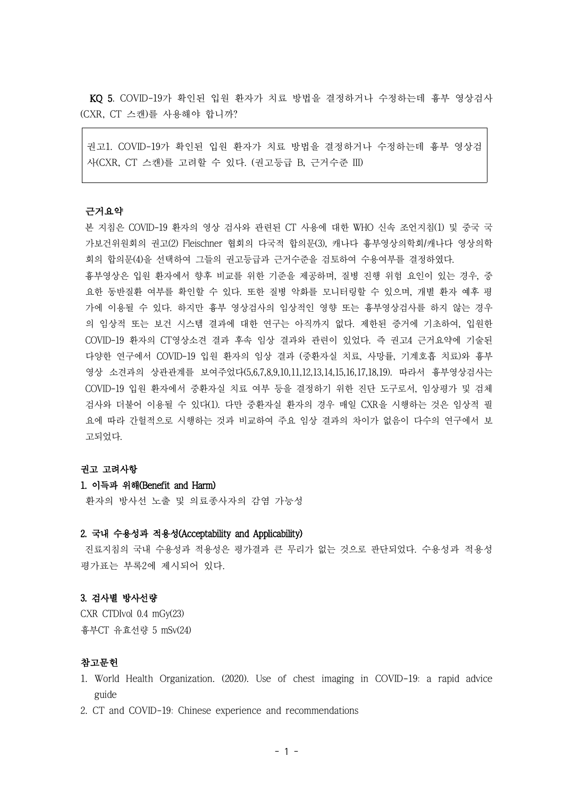KQ 5. COVID-19가 확인된 입원 환자가 치료 방법을 결정하거나 수정하는데 흉부 영상검사 (CXR, CT 스캔)를 사용해야 합니까?

권고1. COVID-19가 확인된 입원 환자가 치료 방법을 결정하거나 수정하는데 흉부 영상검 사(CXR, CT 스캔)를 고려할 수 있다. (권고등급 B, 근거수준 III)

### 근거요약

본 지침은 COVID-19 환자의 영상 검사와 관련된 CT 사용에 대한 WHO 신속 조언지침(1) 및 중국 국 가보건위원회의 권고(2) Fleischner 협회의 다국적 합의문(3), 캐나다 흉부영상의학회/캐나다 영상의학 회의 합의문(4)을 선택하여 그들의 권고등급과 근거수준을 검토하여 수용여부를 결정하였다.

흉부영상은 입원 환자에서 향후 비교를 위한 기준을 제공하며, 질병 진행 위험 요인이 있는 경우, 중 요한 동반질환 여부를 확인할 수 있다. 또한 질병 악화를 모니터링할 수 있으며, 개별 환자 예후 평 가에 이용될 수 있다. 하지만 흉부 영상검사의 임상적인 영향 또는 흉부영상검사를 하지 않는 경우 의 임상적 또는 보건 시스템 결과에 대한 연구는 아직까지 없다. 제한된 증거에 기초하여, 입원한 COVID-19 환자의 CT영상소견 결과 후속 임상 결과와 관련이 있었다. 즉 권고4 근거요약에 기술된 다양한 연구에서 COVID-19 입원 환자의 임상 결과 (중환자실 치료, 사망률, 기계호흡 치료)와 흉부 영상 소견과의 상관관계를 보여주었다(5,6,7,8,9,10,11,12,13,14,15,16,17,18,19). 따라서 흉부영상검사는 COVID-19 입원 환자에서 중환자실 치료 여부 등을 결정하기 위한 진단 도구로서, 임상평가 및 검체 검사와 더불어 이용될 수 있다(1). 다만 중환자실 환자의 경우 매일 CXR을 시행하는 것은 임상적 필 요에 따라 간헐적으로 시행하는 것과 비교하여 주요 임상 결과의 차이가 없음이 다수의 연구에서 보 고되었다.

### 권고 고려사항

# 1. 이득과 위해(Benefit and Harm)

환자의 방사선 노출 및 의료종사자의 감염 가능성

### 2. 국내 수용성과 적용성(Acceptability and Applicability)

진료지침의 국내 수용성과 적용성은 평가결과 큰 무리가 없는 것으로 판단되었다. 수용성과 적용성 평가표는 부록2에 제시되어 있다.

# 3. 검사별 방사선량

CXR CTDIvol 0.4 mGy(23) 휴부CT 유효선량 5 mSv(24)

# 참고문헌

- 1. World Health Organization. (2020). Use of chest imaging in COVID-19: a rapid advice guide
- 2. CT and COVID-19: Chinese experience and recommendations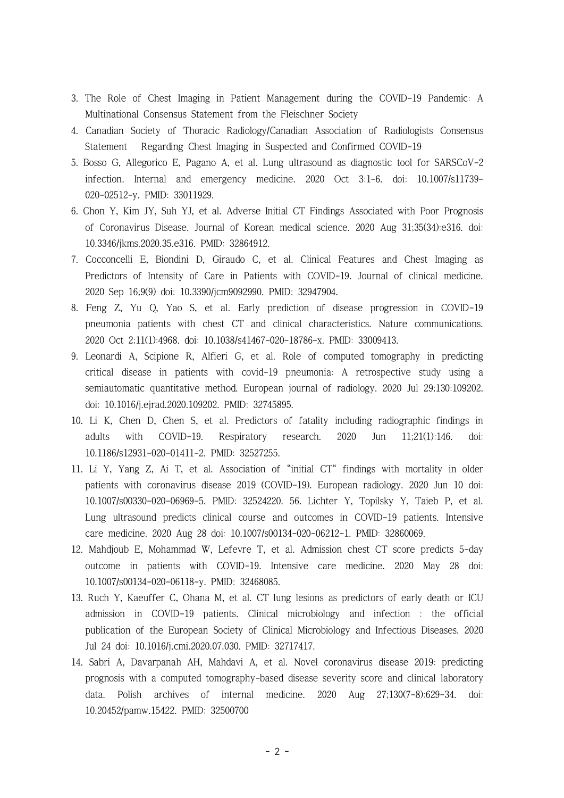- 3. The Role of Chest Imaging in Patient Management during the COVID-19 Pandemic: A Multinational Consensus Statement from the Fleischner Society
- 4. Canadian Society of Thoracic Radiology/Canadian Association of Radiologists Consensus Statement Regarding Chest Imaging in Suspected and Confirmed COVID-19
- 5. Bosso G, Allegorico E, Pagano A, et al. Lung ultrasound as diagnostic tool for SARSCoV-2 infection. Internal and emergency medicine. 2020 Oct 3:1-6. doi: 10.1007/s11739- 020-02512-y. PMID: 33011929.
- 6. Chon Y, Kim JY, Suh YJ, et al. Adverse Initial CT Findings Associated with Poor Prognosis of Coronavirus Disease. Journal of Korean medical science. 2020 Aug 31;35(34):e316. doi: 10.3346/jkms.2020.35.e316. PMID: 32864912.
- 7. Cocconcelli E, Biondini D, Giraudo C, et al. Clinical Features and Chest Imaging as Predictors of Intensity of Care in Patients with COVID-19. Journal of clinical medicine. 2020 Sep 16;9(9) doi: 10.3390/jcm9092990. PMID: 32947904.
- 8. Feng Z, Yu Q, Yao S, et al. Early prediction of disease progression in COVID-19 pneumonia patients with chest CT and clinical characteristics. Nature communications. 2020 Oct 2;11(1):4968. doi: 10.1038/s41467-020-18786-x. PMID: 33009413.
- 9. Leonardi A, Scipione R, Alfieri G, et al. Role of computed tomography in predicting critical disease in patients with covid-19 pneumonia: A retrospective study using a semiautomatic quantitative method. European journal of radiology. 2020 Jul 29;130:109202. doi: 10.1016/j.ejrad.2020.109202. PMID: 32745895.
- 10. Li K, Chen D, Chen S, et al. Predictors of fatality including radiographic findings in adults with COVID-19. Respiratory research. 2020 Jun 11;21(1):146. doi: 10.1186/s12931-020-01411-2. PMID: 32527255.
- 11. Li Y, Yang Z, Ai T, et al. Association of "initial CT" findings with mortality in older patients with coronavirus disease 2019 (COVID-19). European radiology. 2020 Jun 10 doi: 10.1007/s00330-020-06969-5. PMID: 32524220. 56. Lichter Y, Topilsky Y, Taieb P, et al. Lung ultrasound predicts clinical course and outcomes in COVID-19 patients. Intensive care medicine. 2020 Aug 28 doi: 10.1007/s00134-020-06212-1. PMID: 32860069.
- 12. Mahdjoub E, Mohammad W, Lefevre T, et al. Admission chest CT score predicts 5-day outcome in patients with COVID-19. Intensive care medicine. 2020 May 28 doi: 10.1007/s00134-020-06118-y. PMID: 32468085.
- 13. Ruch Y, Kaeuffer C, Ohana M, et al. CT lung lesions as predictors of early death or ICU admission in COVID-19 patients. Clinical microbiology and infection : the official publication of the European Society of Clinical Microbiology and Infectious Diseases. 2020 Jul 24 doi: 10.1016/j.cmi.2020.07.030. PMID: 32717417.
- 14. Sabri A, Davarpanah AH, Mahdavi A, et al. Novel coronavirus disease 2019: predicting prognosis with a computed tomography-based disease severity score and clinical laboratory data. Polish archives of internal medicine. 2020 Aug 27;130(7-8):629-34. doi: 10.20452/pamw.15422. PMID: 32500700